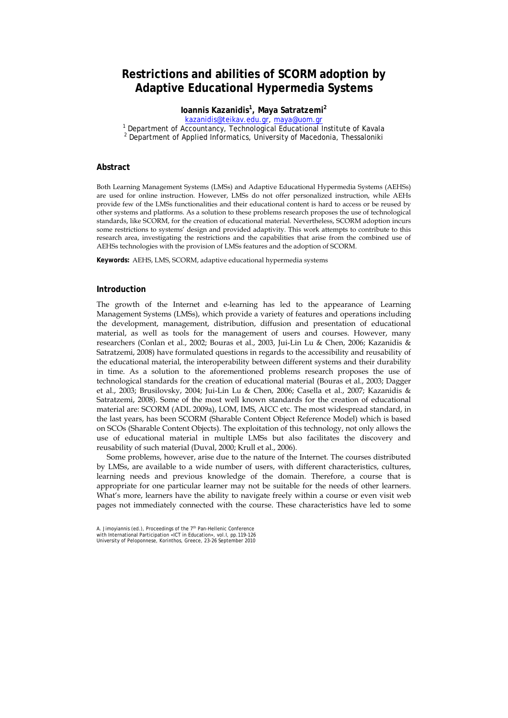# **Restrictions and abilities of SCORM adoption by Adaptive Educational Hypermedia Systems**

**Ioannis Kazanidis<sup>1</sup> , Maya Satratzemi<sup>2</sup>**

kazanidis@teikav.edu.gr, maya@uom.gr<br>1 Department of Accountancy, Technological Educational

Department of Accountancy, Technological Educational Institute of Kavala<br>2 Department of Applied Informatics, University of Macodonia, Thessaloniki <sup>2</sup> Department of Applied Informatics, University of Macedonia, Thessaloniki

#### **Abstract**

Both Learning Management Systems (LMSs) and Adaptive Educational Hypermedia Systems (AEHSs) are used for online instruction. However, LMSs do not offer personalized instruction, while AEHs provide few of the LMSs functionalities and their educational content is hard to access or be reused by other systems and platforms. As a solution to these problems research proposes the use of technological standards, like SCORM, for the creation of educational material. Nevertheless, SCORM adoption incurs some restrictions to systems' design and provided adaptivity. This work attempts to contribute to this research area, investigating the restrictions and the capabilities that arise from the combined use of AEHSs technologies with the provision of LMSs features and the adoption of SCORM.

**Keywords:** AEHS, LMS, SCORM, adaptive educational hypermedia systems

#### **Introduction**

The growth of the Internet and e-learning has led to the appearance of Learning Management Systems (LMSs), which provide a variety of features and operations including the development, management, distribution, diffusion and presentation of educational material, as well as tools for the management of users and courses. However, many researchers (Conlan et al., 2002; Bouras et al., 2003, Jui-Lin Lu & Chen, 2006; Kazanidis & Satratzemi, 2008) have formulated questions in regards to the accessibility and reusability of the educational material, the interoperability between different systems and their durability in time. As a solution to the aforementioned problems research proposes the use of technological standards for the creation of educational material (Bouras et al., 2003; Dagger et al., 2003; Brusilovsky, 2004; Jui-Lin Lu & Chen, 2006; Casella et al., 2007; Kazanidis & Satratzemi, 2008). Some of the most well known standards for the creation of educational material are: SCORM (ADL 2009a), LOM, IMS, AICC etc. The most widespread standard, in the last years, has been SCORM (Sharable Content Object Reference Model) which is based on SCOs (Sharable Content Objects). The exploitation of this technology, not only allows the use of educational material in multiple LMSs but also facilitates the discovery and reusability of such material (Duval, 2000; Krull et al., 2006).

Some problems, however, arise due to the nature of the Internet. The courses distributed by LMSs, are available to a wide number of users, with different characteristics, cultures, learning needs and previous knowledge of the domain. Therefore, a course that is appropriate for one particular learner may not be suitable for the needs of other learners. What's more, learners have the ability to navigate freely within a course or even visit web pages not immediately connected with the course. These characteristics have led to some

A. Jimoyiannis (ed.), Proceedings of the 7<sup>th</sup> Pan-Hellenic Conference<br>with International Participation «ICT in Education», vol.I, pp.119-126 University of Peloponnese, Korinthos, Greece, 23-26 September 2010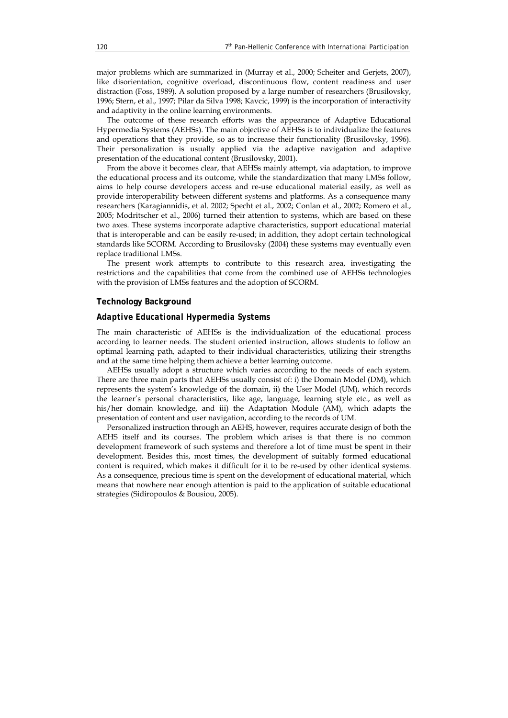major problems which are summarized in (Murray et al., 2000; Scheiter and Gerjets, 2007), like disorientation, cognitive overload, discontinuous flow, content readiness and user distraction (Foss, 1989). A solution proposed by a large number of researchers (Brusilovsky, 1996; Stern, et al., 1997; Pilar da Silva 1998; Kavcic, 1999) is the incorporation of interactivity and adaptivity in the online learning environments.

The outcome of these research efforts was the appearance of Adaptive Educational Hypermedia Systems (AEHSs). The main objective of AEHSs is to individualize the features and operations that they provide, so as to increase their functionality (Brusilovsky, 1996). Their personalization is usually applied via the adaptive navigation and adaptive presentation of the educational content (Brusilovsky, 2001).

From the above it becomes clear, that AEHSs mainly attempt, via adaptation, to improve the educational process and its outcome, while the standardization that many LMSs follow, aims to help course developers access and re-use educational material easily, as well as provide interoperability between different systems and platforms. As a consequence many researchers (Karagiannidis, et al. 2002; Specht et al., 2002; Conlan et al., 2002; Romero et al., 2005; Modritscher et al., 2006) turned their attention to systems, which are based on these two axes. These systems incorporate adaptive characteristics, support educational material that is interoperable and can be easily re-used; in addition, they adopt certain technological standards like SCORM. According to Brusilovsky (2004) these systems may eventually even replace traditional LMSs.

The present work attempts to contribute to this research area, investigating the restrictions and the capabilities that come from the combined use of AEHSs technologies with the provision of LMSs features and the adoption of SCORM.

## **Technology Background**

# *Adaptive Educational Hypermedia Systems*

The main characteristic of AEHSs is the individualization of the educational process according to learner needs. The student oriented instruction, allows students to follow an optimal learning path, adapted to their individual characteristics, utilizing their strengths and at the same time helping them achieve a better learning outcome.

AEHSs usually adopt a structure which varies according to the needs of each system. There are three main parts that AEHSs usually consist of: i) the Domain Model (DM), which represents the system's knowledge of the domain, ii) the User Model (UM), which records the learner's personal characteristics, like age, language, learning style etc., as well as his/her domain knowledge, and iii) the Adaptation Module (AM), which adapts the presentation of content and user navigation, according to the records of UM.

Personalized instruction through an AEHS, however, requires accurate design of both the AEHS itself and its courses. The problem which arises is that there is no common development framework of such systems and therefore a lot of time must be spent in their development. Besides this, most times, the development of suitably formed educational content is required, which makes it difficult for it to be re-used by other identical systems. As a consequence, precious time is spent on the development of educational material, which means that nowhere near enough attention is paid to the application of suitable educational strategies (Sidiropoulos & Bousiou, 2005).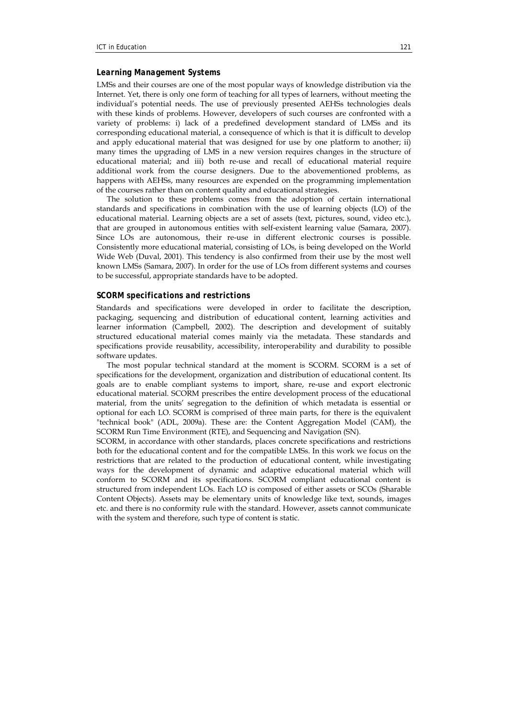# *Learning Management Systems*

LMSs and their courses are one of the most popular ways of knowledge distribution via the Internet. Yet, there is only one form of teaching for all types of learners, without meeting the individual's potential needs. The use of previously presented AEHSs technologies deals with these kinds of problems. However, developers of such courses are confronted with a variety of problems: i) lack of a predefined development standard of LMSs and its corresponding educational material, a consequence of which is that it is difficult to develop and apply educational material that was designed for use by one platform to another; ii) many times the upgrading of LMS in a new version requires changes in the structure of educational material; and iii) both re-use and recall of educational material require additional work from the course designers. Due to the abovementioned problems, as happens with AEHSs, many resources are expended on the programming implementation of the courses rather than on content quality and educational strategies.

The solution to these problems comes from the adoption of certain international standards and specifications in combination with the use of learning objects (LO) of the educational material. Learning objects are a set of assets (text, pictures, sound, video etc.), that are grouped in autonomous entities with self-existent learning value (Samara, 2007). Since LOs are autonomous, their re-use in different electronic courses is possible. Consistently more educational material, consisting of LOs, is being developed on the World Wide Web (Duval, 2001). This tendency is also confirmed from their use by the most well known LMSs (Samara, 2007). In order for the use of LOs from different systems and courses to be successful, appropriate standards have to be adopted.

# *SCORM specifications and restrictions*

Standards and specifications were developed in order to facilitate the description, packaging, sequencing and distribution of educational content, learning activities and learner information (Campbell, 2002). The description and development of suitably structured educational material comes mainly via the metadata. These standards and specifications provide reusability, accessibility, interoperability and durability to possible software updates.

The most popular technical standard at the moment is SCORM. SCORM is a set of specifications for the development, organization and distribution of educational content. Its goals are to enable compliant systems to import, share, re-use and export electronic educational material. SCORM prescribes the entire development process of the educational material, from the units' segregation to the definition of which metadata is essential or optional for each LO. SCORM is comprised of three main parts, for there is the equivalent "technical book" (ADL, 2009a). These are: the Content Aggregation Model (CAM), the SCORM Run Time Environment (RTE), and Sequencing and Navigation (SN).

SCORM, in accordance with other standards, places concrete specifications and restrictions both for the educational content and for the compatible LMSs. In this work we focus on the restrictions that are related to the production of educational content, while investigating ways for the development of dynamic and adaptive educational material which will conform to SCORM and its specifications. SCORM compliant educational content is structured from independent LOs. Each LO is composed of either assets or SCOs (Sharable Content Objects). Assets may be elementary units of knowledge like text, sounds, images etc. and there is no conformity rule with the standard. However, assets cannot communicate with the system and therefore, such type of content is static.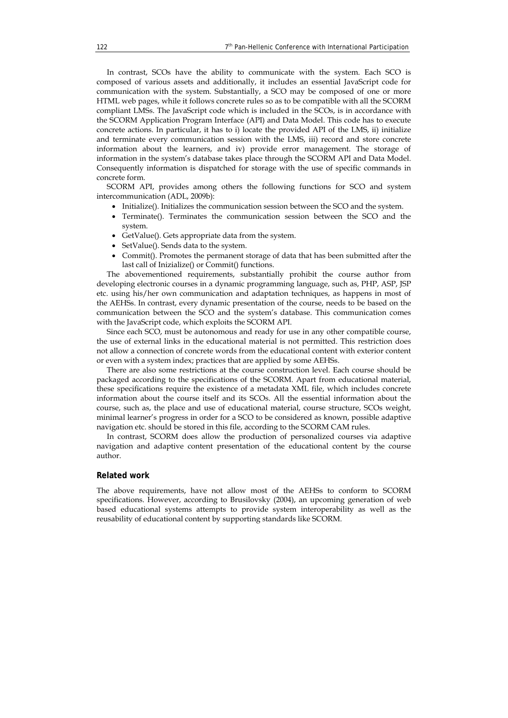In contrast, SCOs have the ability to communicate with the system. Each SCO is composed of various assets and additionally, it includes an essential JavaScript code for communication with the system. Substantially, a SCO may be composed of one or more HTML web pages, while it follows concrete rules so as to be compatible with all the SCORM compliant LMSs. The JavaScript code which is included in the SCOs, is in accordance with the SCORM Application Program Interface (API) and Data Model. This code has to execute concrete actions. In particular, it has to i) locate the provided API of the LMS, ii) initialize and terminate every communication session with the LMS, iii) record and store concrete information about the learners, and iv) provide error management. The storage of information in the system's database takes place through the SCORM API and Data Model. Consequently information is dispatched for storage with the use of specific commands in concrete form.

SCORM API, provides among others the following functions for SCO and system intercommunication (ADL, 2009b):

- Initialize(). Initializes the communication session between the SCO and the system.
- Terminate(). Terminates the communication session between the SCO and the system.
- GetValue(). Gets appropriate data from the system.
- SetValue(). Sends data to the system.
- Commit(). Promotes the permanent storage of data that has been submitted after the last call of Inizialize() or Commit() functions.

The abovementioned requirements, substantially prohibit the course author from developing electronic courses in a dynamic programming language, such as, PHP, ASP, JSP etc. using his/her own communication and adaptation techniques, as happens in most of the AEHSs. In contrast, every dynamic presentation of the course, needs to be based on the communication between the SCO and the system's database. This communication comes with the JavaScript code, which exploits the SCORM API.

Since each SCO, must be autonomous and ready for use in any other compatible course, the use of external links in the educational material is not permitted. This restriction does not allow a connection of concrete words from the educational content with exterior content or even with a system index; practices that are applied by some AEHSs.

There are also some restrictions at the course construction level. Each course should be packaged according to the specifications of the SCORM. Apart from educational material, these specifications require the existence of a metadata XML file, which includes concrete information about the course itself and its SCOs. All the essential information about the course, such as, the place and use of educational material, course structure, SCOs weight, minimal learner's progress in order for a SCO to be considered as known, possible adaptive navigation etc. should be stored in this file, according to the SCORM CAM rules.

In contrast, SCORM does allow the production of personalized courses via adaptive navigation and adaptive content presentation of the educational content by the course author.

### **Related work**

The above requirements, have not allow most of the AEHSs to conform to SCORM specifications. However, according to Brusilovsky (2004), an upcoming generation of web based educational systems attempts to provide system interoperability as well as the reusability of educational content by supporting standards like SCORM.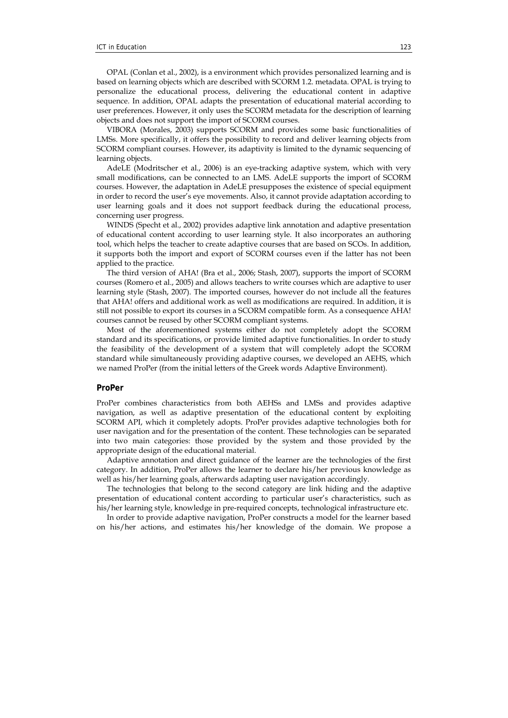OPAL (Conlan et al., 2002), is a environment which provides personalized learning and is based on learning objects which are described with SCORM 1.2. metadata. OPAL is trying to personalize the educational process, delivering the educational content in adaptive sequence. In addition, OPAL adapts the presentation of educational material according to user preferences. However, it only uses the SCORM metadata for the description of learning objects and does not support the import of SCORM courses.

VIBORA (Morales, 2003) supports SCORM and provides some basic functionalities of LMSs. More specifically, it offers the possibility to record and deliver learning objects from SCORM compliant courses. However, its adaptivity is limited to the dynamic sequencing of learning objects.

AdeLE (Modritscher et al., 2006) is an eye-tracking adaptive system, which with very small modifications, can be connected to an LMS. AdeLE supports the import of SCORM courses. However, the adaptation in AdeLE presupposes the existence of special equipment in order to record the user's eye movements. Also, it cannot provide adaptation according to user learning goals and it does not support feedback during the educational process, concerning user progress.

WINDS (Specht et al., 2002) provides adaptive link annotation and adaptive presentation of educational content according to user learning style. It also incorporates an authoring tool, which helps the teacher to create adaptive courses that are based on SCOs. In addition, it supports both the import and export of SCORM courses even if the latter has not been applied to the practice.

The third version of AHA! (Bra et al., 2006; Stash, 2007), supports the import of SCORM courses (Romero et al., 2005) and allows teachers to write courses which are adaptive to user learning style (Stash, 2007). The imported courses, however do not include all the features that AHA! offers and additional work as well as modifications are required. In addition, it is still not possible to export its courses in a SCORM compatible form. As a consequence AHA! courses cannot be reused by other SCORM compliant systems.

Most of the aforementioned systems either do not completely adopt the SCORM standard and its specifications, or provide limited adaptive functionalities. In order to study the feasibility of the development of a system that will completely adopt the SCORM standard while simultaneously providing adaptive courses, we developed an AEHS, which we named ProPer (from the initial letters of the Greek words Adaptive Environment).

# **ProPer**

ProPer combines characteristics from both AEHSs and LMSs and provides adaptive navigation, as well as adaptive presentation of the educational content by exploiting SCORM API, which it completely adopts. ProPer provides adaptive technologies both for user navigation and for the presentation of the content. These technologies can be separated into two main categories: those provided by the system and those provided by the appropriate design of the educational material.

Adaptive annotation and direct guidance of the learner are the technologies of the first category. In addition, ProPer allows the learner to declare his/her previous knowledge as well as his/her learning goals, afterwards adapting user navigation accordingly.

The technologies that belong to the second category are link hiding and the adaptive presentation of educational content according to particular user's characteristics, such as his/her learning style, knowledge in pre-required concepts, technological infrastructure etc.

In order to provide adaptive navigation, ProPer constructs a model for the learner based on his/her actions, and estimates his/her knowledge of the domain. We propose a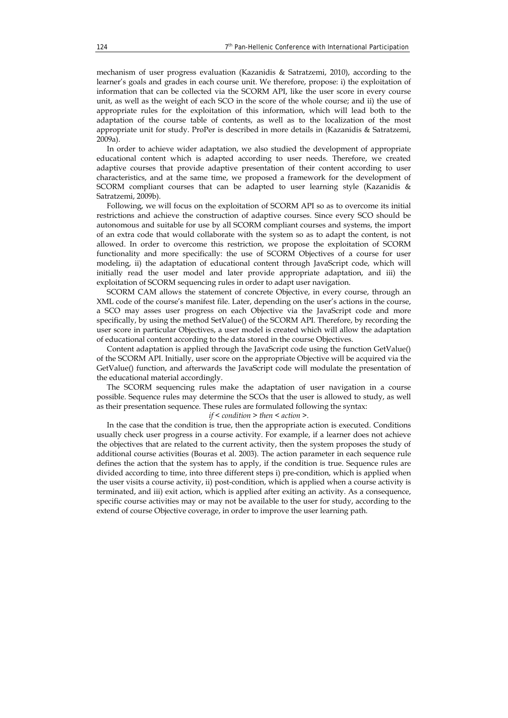mechanism of user progress evaluation (Kazanidis & Satratzemi, 2010), according to the learner's goals and grades in each course unit. We therefore, propose: i) the exploitation of information that can be collected via the SCORM API, like the user score in every course unit, as well as the weight of each SCO in the score of the whole course; and ii) the use of appropriate rules for the exploitation of this information, which will lead both to the adaptation of the course table of contents, as well as to the localization of the most appropriate unit for study. ProPer is described in more details in (Kazanidis & Satratzemi, 2009a).

In order to achieve wider adaptation, we also studied the development of appropriate educational content which is adapted according to user needs. Therefore, we created adaptive courses that provide adaptive presentation of their content according to user characteristics, and at the same time, we proposed a framework for the development of SCORM compliant courses that can be adapted to user learning style (Kazanidis & Satratzemi, 2009b).

Following, we will focus on the exploitation of SCORM API so as to overcome its initial restrictions and achieve the construction of adaptive courses. Since every SCO should be autonomous and suitable for use by all SCORM compliant courses and systems, the import of an extra code that would collaborate with the system so as to adapt the content, is not allowed. In order to overcome this restriction, we propose the exploitation of SCORM functionality and more specifically: the use of SCORM Objectives of a course for user modeling, ii) the adaptation of educational content through JavaScript code, which will initially read the user model and later provide appropriate adaptation, and iii) the exploitation of SCORM sequencing rules in order to adapt user navigation.

SCORM CAM allows the statement of concrete Objective, in every course, through an XML code of the course's manifest file. Later, depending on the user's actions in the course, a SCO may asses user progress on each Objective via the JavaScript code and more specifically, by using the method SetValue() of the SCORM API. Therefore, by recording the user score in particular Objectives, a user model is created which will allow the adaptation of educational content according to the data stored in the course Objectives.

Content adaptation is applied through the JavaScript code using the function GetValue() of the SCORM API. Initially, user score on the appropriate Objective will be acquired via the GetValue() function, and afterwards the JavaScript code will modulate the presentation of the educational material accordingly.

The SCORM sequencing rules make the adaptation of user navigation in a course possible. Sequence rules may determine the SCOs that the user is allowed to study, as well as their presentation sequence. These rules are formulated following the syntax:

#### *if < condition > then < action >.*

In the case that the condition is true, then the appropriate action is executed. Conditions usually check user progress in a course activity. For example, if a learner does not achieve the objectives that are related to the current activity, then the system proposes the study of additional course activities (Bouras et al. 2003). The action parameter in each sequence rule defines the action that the system has to apply, if the condition is true. Sequence rules are divided according to time, into three different steps i) pre-condition, which is applied when the user visits a course activity, ii) post-condition, which is applied when a course activity is terminated, and iii) exit action, which is applied after exiting an activity. As a consequence, specific course activities may or may not be available to the user for study, according to the extend of course Objective coverage, in order to improve the user learning path.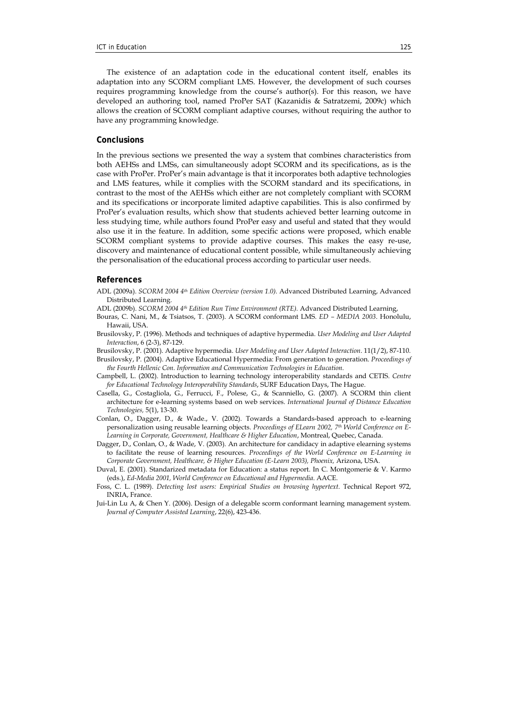The existence of an adaptation code in the educational content itself, enables its adaptation into any SCORM compliant LMS. However, the development of such courses requires programming knowledge from the course's author(s). For this reason, we have developed an authoring tool, named ProPer SAT (Kazanidis & Satratzemi, 2009c) which allows the creation of SCORM compliant adaptive courses, without requiring the author to have any programming knowledge.

### **Conclusions**

In the previous sections we presented the way a system that combines characteristics from both AEHSs and LMSs, can simultaneously adopt SCORM and its specifications, as is the case with ProPer. ProPer's main advantage is that it incorporates both adaptive technologies and LMS features, while it complies with the SCORM standard and its specifications, in contrast to the most of the AEHSs which either are not completely compliant with SCORM and its specifications or incorporate limited adaptive capabilities. This is also confirmed by ProPer's evaluation results, which show that students achieved better learning outcome in less studying time, while authors found ProPer easy and useful and stated that they would also use it in the feature. In addition, some specific actions were proposed, which enable SCORM compliant systems to provide adaptive courses. This makes the easy re-use, discovery and maintenance of educational content possible, while simultaneously achieving the personalisation of the educational process according to particular user needs.

#### **References**

- ADL (2009a). *SCORM 2004 4th Edition Overview (version 1.0).* Advanced Distributed Learning, Advanced Distributed Learning.
- ADL (2009b). *SCORM 2004 4th Edition Run Time Environment (RTE).* Advanced Distributed Learning,
- Bouras, C. Nani, M., & Tsiatsos, T. (2003). A SCORM conformant LMS. *ED MEDIA 2003*. Honolulu, Hawaii, USA.
- Brusilovsky, P. (1996). Methods and techniques of adaptive hypermedia. *User Modeling and User Adapted Interaction*, 6 (2-3), 87-129.
- Brusilovsky, P. (2001). Adaptive hypermedia. *User Modeling and User Adapted Interaction*. 11(1/2), 87-110.
- Brusilovsky, P. (2004). Adaptive Educational Hypermedia: From generation to generation. *Proceedings of the Fourth Hellenic Con. Information and Communication Technologies in Education*.
- Campbell, L. (2002). Introduction to learning technology interoperability standards and CETIS. *Centre for Educational Technology Interoperability Standards*, SURF Education Days, The Hague.
- Casella, G., Costagliola, G., Ferrucci, F., Polese, G., & Scanniello, G. (2007). A SCORM thin client architecture for e-learning systems based on web services. *International Journal of Distance Education Technologies,* 5(1), 13-30.
- Conlan, O., Dagger, D., & Wade., V. (2002). Towards a Standards-based approach to e-learning personalization using reusable learning objects. *Proceedings of ELearn 2002, 7th World Conference on E-Learning in Corporate, Government, Healthcare & Higher Education*, Montreal, Quebec, Canada.
- Dagger, D., Conlan, O., & Wade, V. (2003). An architecture for candidacy in adaptive elearning systems to facilitate the reuse of learning resources. *Proceedings of the World Conference on E-Learning in Corporate Government, Healthcare, & Higher Education (E-Learn 2003), Phoenix,* Arizona, USA.
- Duval, E. (2001). Standarized metadata for Education: a status report. In C. Montgomerie & V. Karmo (eds.), *Ed-Media 2001, World Conference on Educational and Hypermedia*. AACE.
- Foss, C. L. (1989). *Detecting lost users: Empirical Studies on browsing hypertext*. Technical Report 972, INRIA, France.
- Jui-Lin Lu A, & Chen Y. (2006). Design of a delegable scorm conformant learning management system. *Journal of Computer Assisted Learning*, 22(6), 423-436.